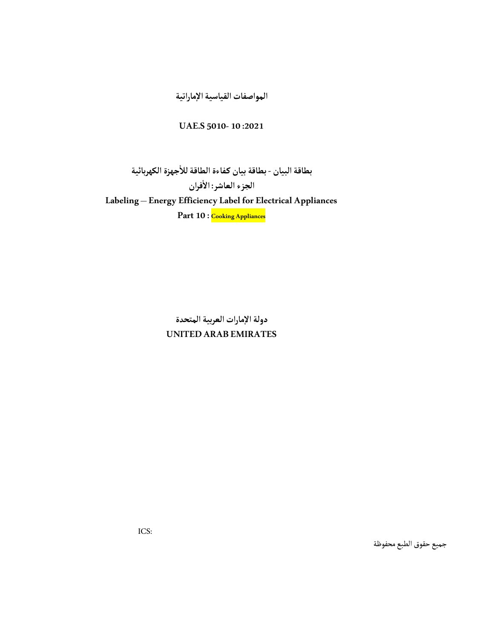المواصفات القياسية الإماراتية

## UAE.S 5010-10 :2021

ٔبطاقة البيان - بطاقة بيان كفاءة الطاقة للأجهزة الكهربائية ٔالجزء العاشر: الأفران Labeling – Energy Efficiency Label for Electrical Appliances Part 10 : Cooking Appliances

> دولة الإمارات العربية المتحدة UNITED ARAB EMIRATES

> > جميع حقوق الطبع محفوظة

ICS: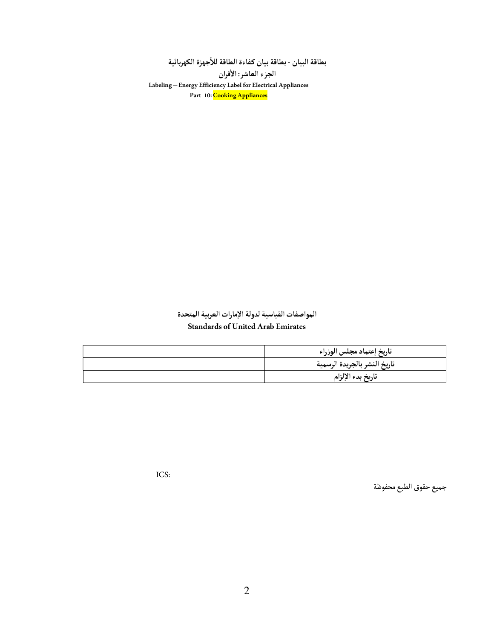ٔبطاقة البيان - بطاقة بيان كفاءة الطاقة للأجهزة الكهربائية ٔ

الجزء العاشر: الأفران Labeling – Energy Efficiency Label for Electrical Appliances Part 10: Cooking Appliances

## المواصفات القياسية لدولة الإمارات العربية المتحدة Standards of United Arab Emirates

| تاريخ إعتماد مجلس الوزراء    |
|------------------------------|
| تاريخ النشر بالجريدة الرسمية |
| تاريخ بدء الإلزام            |

جميع حقوق الطبع محفوظة

ICS: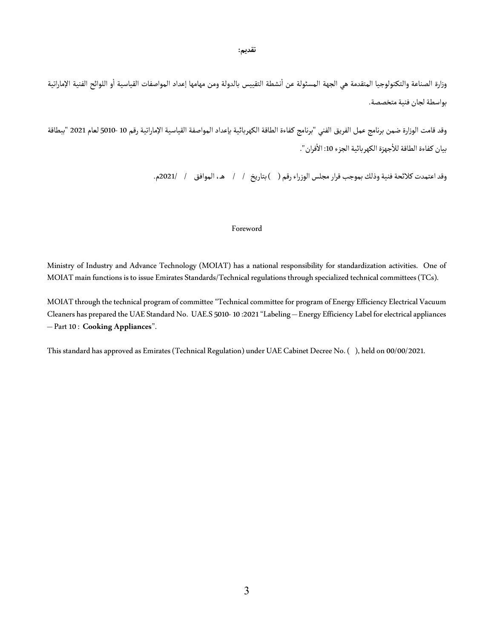تقديم:

وزارة الصناعة والتكنولوجيا المتقدمة هي الجهة المسئولة عن أنشطة التقييس بالدولة ومن مهامها إعداد المواصفات القياسية أو اللوائح الفنية الإماراتية ٔ بواسطة لجان فنية متخصصة.

وقد قامت الوزارة ضمن برنامج عمل الفريق الفني "برنامج كـفاءة الطاقة الكهربائية بإعداد المواصفة القياسية الإماراتية رقم 10 5010- لعام 2021"ببطاقة بيان كفاءة الطاقة للأجهزة الكهربائية الجزء 10: الأفران ". ٔ ٔ

وقد اعتمدت كلائحة فنية وذلك بموجب قرار مجلس الوزراء رقم ( ) بتاريخ / / هـ، الموافق / 2021م.

### Foreword

Ministry of Industry and Advance Technology (MOIAT) has a national responsibility for standardization activities. One of MOIAT main functions is to issue Emirates Standards/Technical regulations through specialized technical committees (TCs).

MOIAT through the technical program of committee "Technical committee for program of Energy Efficiency Electrical Vacuum Cleaners has prepared the UAE Standard No. UAE.S 5010- 10 :2021 "Labeling – Energy Efficiency Label for electrical appliances – Part 10 : Cooking Appliances".

This standard has approved as Emirates (Technical Regulation) under UAE Cabinet Decree No. ( ), held on 00/00/2021.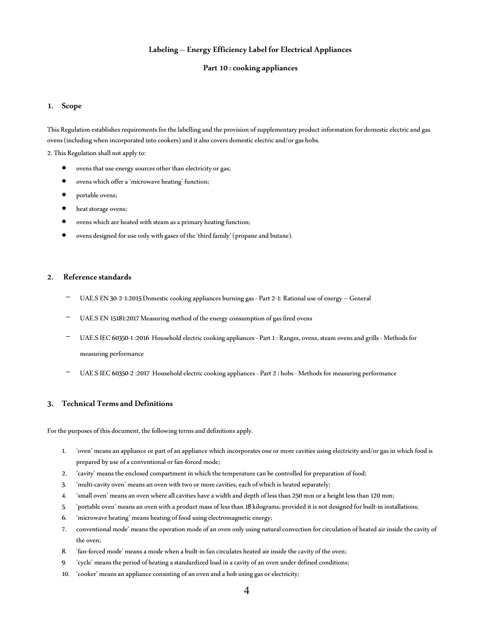### Labeling – Energy Efficiency Label for Electrical Appliances

#### Part 10 : cooking appliances

#### 1. Scope

This Regulation establishes requirements for the labelling and the provision of supplementary product information for domestic electric and gas ovens (including when incorporated into cookers) and it also covers domestic electric and/or gas hobs.

2. This Regulation shall not apply to:

- ovens that use energy sources other than electricity or gas;
- ovens which offer a 'microwave heating' function;
- portable ovens;
- $\bullet$  heat storage ovens;
- ovens which are heated with steam as a primary heating function;
- ovens designed for use only with gases of the 'third family' (propane and butane).

#### 2. Reference standards

- UAE.S EN 30-2-1:2015 Domestic cooking appliances burning gas Part 2-1: Rational use of energy General
- UAE.S EN 15181:2017 Measuring method of the energy consumption of gas fired ovens
- UAE.S IEC 60350-1 :2016 Household electric cooking appliances Part 1 : Ranges, ovens, steam ovens and grills Methods for measuring performance
- UAE.S IEC 60350-2 :2017 Household electric cooking appliances Part 2 : hobs Methods for measuring performance

### 3. Technical Terms and Definitions

For the purposes of this document, the following terms and definitions apply.

- 1. 'oven' means an appliance or part of an appliance which incorporates one or more cavities using electricity and/or gas in which food is prepared by use of a conventional or fan-forced mode;
- 2. 'cavity' means the enclosed compartment in which the temperature can be controlled for preparation of food;
- 3. 'multi-cavity oven' means an oven with two or more cavities, each of which is heated separately;
- 4. 'small oven' means an oven where all cavities have a width and depth of less than 250 mm or a height less than 120 mm;
- 5. 'portable oven' means an oven with a product mass of less than 18 kilograms, provided it is not designed for built-in installations;
- 6. 'microwave heating' means heating of food using electromagnetic energy;
- 7. conventional mode' means the operation mode of an oven only using natural convection for circulation of heated air inside the cavity of the oven;
- 8. 'fan-forced mode' means a mode when a built-in fan circulates heated air inside the cavity of the oven;
- 9. 'cycle' means the period of heating a standardized load in a cavity of an oven under defined conditions;
- 10. 'cooker' means an appliance consisting of an oven and a hob using gas or electricity;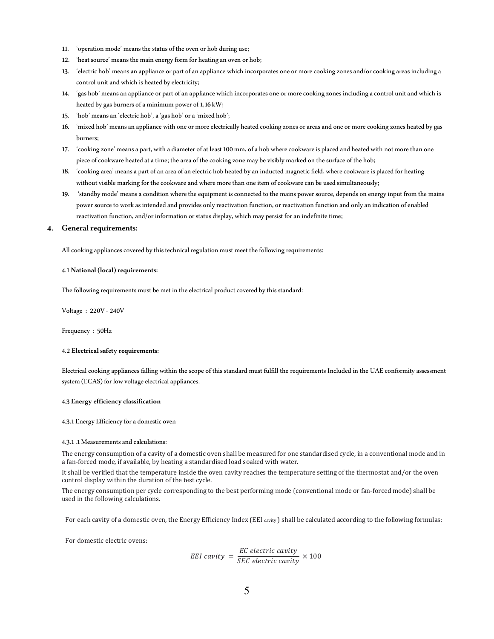- 11. 'operation mode' means the status of the oven or hob during use;
- 12. 'heat source' means the main energy form for heating an oven or hob;
- 13. 'electric hob' means an appliance or part of an appliance which incorporates one or more cooking zones and/or cooking areas including a control unit and which is heated by electricity;
- 14. 'gas hob' means an appliance or part of an appliance which incorporates one or more cooking zones including a control unit and which is heated by gas burners of a minimum power of 1,16 kW;
- 15. 'hob' means an 'electric hob', a 'gas hob' or a 'mixed hob';
- 16. 'mixed hob' means an appliance with one or more electrically heated cooking zones or areas and one or more cooking zones heated by gas burners;
- 17. 'cooking zone' means a part, with a diameter of at least 100 mm, of a hob where cookware is placed and heated with not more than one piece of cookware heated at a time; the area of the cooking zone may be visibly marked on the surface of the hob;
- 18. 'cooking area' means a part of an area of an electric hob heated by an inducted magnetic field, where cookware is placed for heating without visible marking for the cookware and where more than one item of cookware can be used simultaneously;
- 19. 'standby mode' means a condition where the equipment is connected to the mains power source, depends on energy input from the mains power source to work as intended and provides only reactivation function, or reactivation function and only an indication of enabled reactivation function, and/or information or status display, which may persist for an indefinite time;

#### 4. General requirements:

All cooking appliances covered by this technical regulation must meet the following requirements:

#### 4.1 National (local) requirements:

The following requirements must be met in the electrical product covered by this standard:

Voltage : 220V - 240V

Frequency : 50Hz

#### 4.2 Electrical safety requirements:

Electrical cooking appliances falling within the scope of this standard must fulfill the requirements Included in the UAE conformity assessment system (ECAS) for low voltage electrical appliances.

#### 4.3 Energy efficiency classification

4.3.1 Energy Efficiency for a domestic oven

#### 4.3.1 .1 Measurements and calculations:

The energy consumption of a cavity of a domestic oven shall be measured for one standardised cycle, in a conventional mode and in a fan-forced mode, if available, by heating a standardised load soaked with water.

It shall be verified that the temperature inside the oven cavity reaches the temperature setting of the thermostat and/or the oven control display within the duration of the test cycle.

The energy consumption per cycle corresponding to the best performing mode (conventional mode or fan-forced mode) shall be used in the following calculations.

For each cavity of a domestic oven, the Energy Efficiency Index (EEI cavity) shall be calculated according to the following formulas:

For domestic electric ovens:

$$
EEI\ cavity = \frac{EC\ electric\ cavity}{SEC\ electric\ cavity} \times 100
$$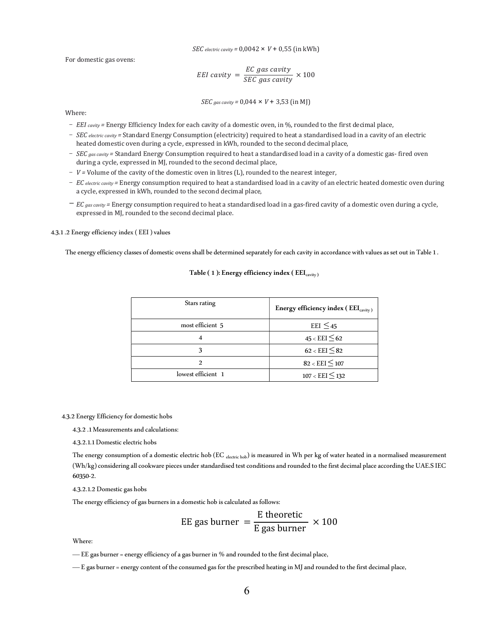SEC electric cavity =  $0,0042 \times V + 0,55$  (in kWh)

For domestic gas ovens:

$$
EEI\ cavity = \frac{EC\ gas\ cavity}{SEC\ gas\ cavity} \times 100
$$

$$
SEC\,gas\,cavity = 0.044 \times V + 3.53 \text{ (in MJ)}
$$

Where:

- EEI cavity = Energy Efficiency Index for each cavity of a domestic oven, in %, rounded to the first decimal place,
- SEC electric cavity = Standard Energy Consumption (electricity) required to heat a standardised load in a cavity of an electric heated domestic oven during a cycle, expressed in kWh, rounded to the second decimal place,
- $SEC$  gas cavity = Standard Energy Consumption required to heat a standardised load in a cavity of a domestic gas- fired oven during a cycle, expressed in MJ, rounded to the second decimal place,
- $-V =$  Volume of the cavity of the domestic oven in litres (L), rounded to the nearest integer,
- EC electric cavity = Energy consumption required to heat a standardised load in a cavity of an electric heated domestic oven during a cycle, expressed in kWh, rounded to the second decimal place,
- $EC_{gas\,cavity}$  = Energy consumption required to heat a standardised load in a gas-fired cavity of a domestic oven during a cycle, expressed in MJ, rounded to the second decimal place.

4.3.1 .2 Energy efficiency index ( EEI ) values

The energy efficiency classes of domestic ovens shall be determined separately for each cavity in accordance with values as set out in Table 1 .

| Stars rating       | Energy efficiency index (EEI <sub>cavity)</sub> |
|--------------------|-------------------------------------------------|
| most efficient 5   | EEI $\leq$ 45                                   |
|                    | $45 < EEI \leq 62$                              |
| 3                  | $62 < EEI \leq 82$                              |
| $\mathcal{D}$      | $82 < EEI \leq 107$                             |
| lowest efficient 1 | $107 < EEI \leq 132$                            |

#### Table ( 1 ): Energy efficiency index (  $\text{EEI}_{\text{cavity}}$  )

4.3.2 Energy Efficiency for domestic hobs

4.3.2 .1 Measurements and calculations:

4.3.2.1.1 Domestic electric hobs

The energy consumption of a domestic electric hob (EC  $_{\text{electric hob}}$ ) is measured in Wh per kg of water heated in a normalised measurement (Wh/kg) considering all cookware pieces under standardised test conditions and rounded to the first decimal place according the UAE.S IEC 60350-2.

4.3.2.1.2 Domestic gas hobs

The energy efficiency of gas burners in a domestic hob is calculated as follows:

EE gas burner 
$$
=
$$
  $\frac{\text{E theoretic}}{\text{E gas burner}} \times 100$ 

Where:

— EE gas burner = energy efficiency of a gas burner in % and rounded to the first decimal place,

— E gas burner = energy content of the consumed gas for the prescribed heating in MJ and rounded to the first decimal place,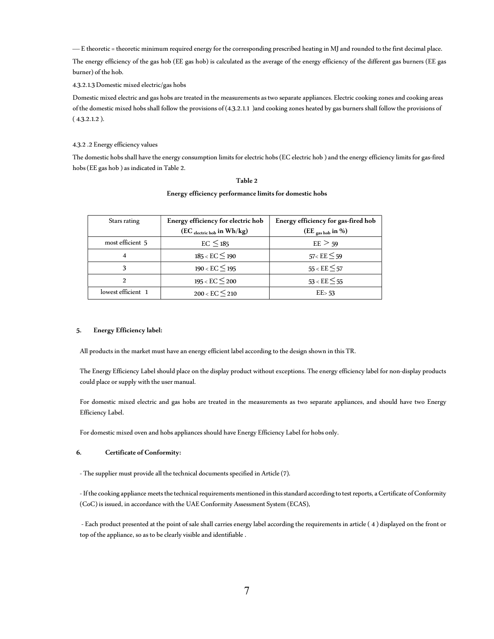— E theoretic = theoretic minimum required energy for the corresponding prescribed heating in MJ and rounded to the first decimal place.

The energy efficiency of the gas hob (EE gas hob) is calculated as the average of the energy efficiency of the different gas burners (EE gas burner) of the hob.

#### 4.3.2.1.3 Domestic mixed electric/gas hobs

Domestic mixed electric and gas hobs are treated in the measurements as two separate appliances. Electric cooking zones and cooking areas of the domestic mixed hobs shall follow the provisions of (4.3.2.1.1 )and cooking zones heated by gas burners shall follow the provisions of ( 4.3.2.1.2 ).

#### 4.3.2 .2 Energy efficiency values

The domestic hobs shall have the energy consumption limits for electric hobs (EC electric hob ) and the energy efficiency limits for gas-fired hobs (EE gas hob ) as indicated in Table 2.

#### Table 2

| Stars rating       | Energy efficiency for electric hob | Energy efficiency for gas-fired hob |
|--------------------|------------------------------------|-------------------------------------|
|                    | $(EC_{electric\,hot}$ in $Wh/kg)$  | (EE $_{\text{gas hob}}$ in %)       |
| most efficient 5   | $EC \leq 185$                      | $EE \geq 59$                        |
| 4                  | $185 < EC \leq 190$                | $57 < EE \leq 59$                   |
|                    | $190 < EC \leq 195$                | $55 < EE \leq 57$                   |
| $\mathcal{L}$      | $195 < EC \leq 200$                | $53 < EE \leq 55$                   |
| lowest efficient 1 | 200 < EC < 210                     | $EE$ 53                             |

#### Energy efficiency performance limits for domestic hobs

#### 5. Energy Efficiency label:

All products in the market must have an energy efficient label according to the design shown in this TR.

The Energy Efficiency Label should place on the display product without exceptions. The energy efficiency label for non-display products could place or supply with the user manual.

For domestic mixed electric and gas hobs are treated in the measurements as two separate appliances, and should have two Energy Efficiency Label.

For domestic mixed oven and hobs appliances should have Energy Efficiency Label for hobs only.

#### 6. Certificate of Conformity:

- The supplier must provide all the technical documents specified in Article (7).

- If the cooking appliance meets the technical requirements mentioned in this standard according to test reports, a Certificate of Conformity (CoC) is issued, in accordance with the UAE Conformity Assessment System (ECAS),

- Each product presented at the point of sale shall carries energy label according the requirements in article (4) displayed on the front or top of the appliance, so as to be clearly visible and identifiable .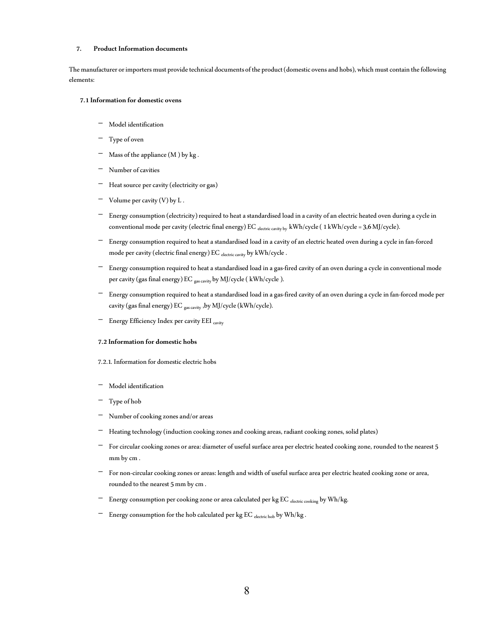#### 7. Product Information documents

The manufacturer or importers must provide technical documents of the product (domestic ovens and hobs), which must contain the following elements:

#### 7.1 Information for domestic ovens

- Model identification
- Type of oven
- $-$  Mass of the appliance (M) by kg.
- Number of cavities
- Heat source per cavity (electricity or gas)
- $-$  Volume per cavity (V) by L.
- Energy consumption (electricity) required to heat a standardised load in a cavity of an electric heated oven during a cycle in conventional mode per cavity (electric final energy) EC electric cavity by kWh/cycle ( 1 kWh/cycle = 3,6 MJ/cycle).
- Energy consumption required to heat a standardised load in a cavity of an electric heated oven during a cycle in fan-forced mode per cavity (electric final energy) EC electric cavity by kWh/cycle .
- Energy consumption required to heat a standardised load in a gas-fired cavity of an oven during a cycle in conventional mode per cavity (gas final energy) EC <sub>gas cavity</sub> by MJ/cycle ( kWh/cycle ).
- Energy consumption required to heat a standardised load in a gas-fired cavity of an oven during a cycle in fan-forced mode per cavity (gas final energy) EC gas cavity ,by MJ/cycle (kWh/cycle).
- Energy Efficiency Index per cavity EEI cavity

#### 7.2 Information for domestic hobs

#### 7.2.1. Information for domestic electric hobs

- Model identification
- Type of hob
- Number of cooking zones and/or areas
- Heating technology (induction cooking zones and cooking areas, radiant cooking zones, solid plates)
- For circular cooking zones or area: diameter of useful surface area per electric heated cooking zone, rounded to the nearest 5 mm by cm .
- For non-circular cooking zones or areas: length and width of useful surface area per electric heated cooking zone or area, rounded to the nearest 5 mm by cm .
- Energy consumption per cooking zone or area calculated per kg EC electric cooking by Wh/kg.
- Energy consumption for the hob calculated per kg  $EC$   $_{\text{electric~hob}}$  by  $Wh/kg$  .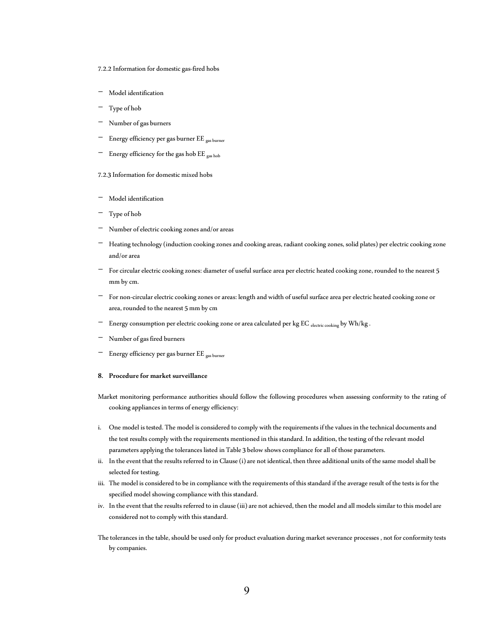- 7.2.2 Information for domestic gas-fired hobs
- Model identification
- Type of hob
- Number of gas burners
- Energy efficiency per gas burner EE <sub>gas burner</sub>
- Energy efficiency for the gas hob EE gas hob
- 7.2.3 Information for domestic mixed hobs
- Model identification
- Type of hob
- Number of electric cooking zones and/or areas
- Heating technology (induction cooking zones and cooking areas, radiant cooking zones, solid plates) per electric cooking zone and/or area
- For circular electric cooking zones: diameter of useful surface area per electric heated cooking zone, rounded to the nearest 5 mm by cm.
- For non-circular electric cooking zones or areas: length and width of useful surface area per electric heated cooking zone or area, rounded to the nearest 5 mm by cm
- Energy consumption per electric cooking zone or area calculated per kg EC electric cooking by Wh/kg.
- Number of gas fired burners
- Energy efficiency per gas burner EE <sub>gas burner</sub>

#### 8. Procedure for market surveillance

- Market monitoring performance authorities should follow the following procedures when assessing conformity to the rating of cooking appliances in terms of energy efficiency:
- i. One model is tested. The model is considered to comply with the requirements if the values in the technical documents and the test results comply with the requirements mentioned in this standard. In addition, the testing of the relevant model parameters applying the tolerances listed in Table 3 below shows compliance for all of those parameters.
- ii. In the event that the results referred to in Clause (i) are not identical, then three additional units of the same model shall be selected for testing.
- iii. The model is considered to be in compliance with the requirements of this standard if the average result of the tests is for the specified model showing compliance with this standard.
- iv. In the event that the results referred to in clause (iii) are not achieved, then the model and all models similar to this model are considered not to comply with this standard.
- The tolerances in the table, should be used only for product evaluation during market severance processes , not for conformity tests by companies.